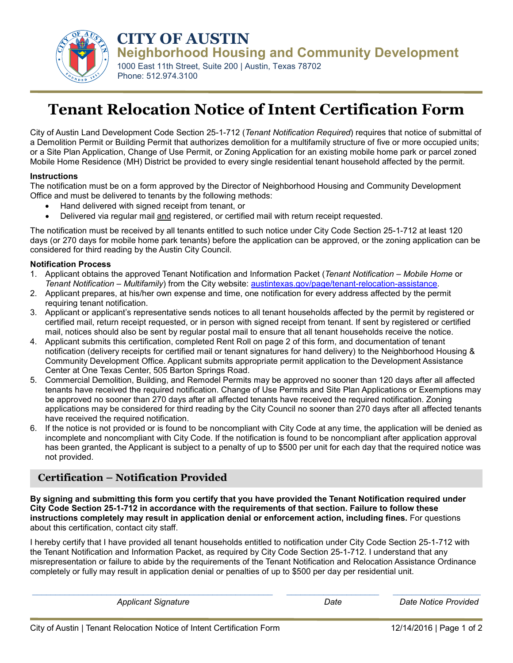

**CITY OF AUSTIN Neighborhood Housing and Community Development**

1000 East 11th Street, Suite 200 | Austin, Texas 78702 Phone: 512.974.3100

# **Tenant Relocation Notice of Intent Certification Form**

City of Austin Land Development Code Section 25-1-712 (*Tenant Notification Required*) requires that notice of submittal of a Demolition Permit or Building Permit that authorizes demolition for a multifamily structure of five or more occupied units; or a Site Plan Application, Change of Use Permit, or Zoning Application for an existing mobile home park or parcel zoned Mobile Home Residence (MH) District be provided to every single residential tenant household affected by the permit.

#### **Instructions**

The notification must be on a form approved by the Director of Neighborhood Housing and Community Development Office and must be delivered to tenants by the following methods:

- Hand delivered with signed receipt from tenant, or
- Delivered via regular mail and registered, or certified mail with return receipt requested.

The notification must be received by all tenants entitled to such notice under City Code Section 25-1-712 at least 120 days (or 270 days for mobile home park tenants) before the application can be approved, or the zoning application can be considered for third reading by the Austin City Council.

#### **Notification Process**

- 1. Applicant obtains the approved Tenant Notification and Information Packet (*Tenant Notification Mobile Home* or *Tenant Notification – Multifamily*) from the City website: [austintexas.gov/page/tenant-relocation-assistance.](http://austintexas.gov/page/tenant-relocation-assistance)
- 2. Applicant prepares, at his/her own expense and time, one notification for every address affected by the permit requiring tenant notification.
- 3. Applicant or applicant's representative sends notices to all tenant households affected by the permit by registered or certified mail, return receipt requested, or in person with signed receipt from tenant. If sent by registered or certified mail, notices should also be sent by regular postal mail to ensure that all tenant households receive the notice.
- 4. Applicant submits this certification, completed Rent Roll on page 2 of this form, and documentation of tenant notification (delivery receipts for certified mail or tenant signatures for hand delivery) to the Neighborhood Housing & Community Development Office. Applicant submits appropriate permit application to the Development Assistance Center at One Texas Center, 505 Barton Springs Road.
- 5. Commercial Demolition, Building, and Remodel Permits may be approved no sooner than 120 days after all affected tenants have received the required notification. Change of Use Permits and Site Plan Applications or Exemptions may be approved no sooner than 270 days after all affected tenants have received the required notification. Zoning applications may be considered for third reading by the City Council no sooner than 270 days after all affected tenants have received the required notification.
- 6. If the notice is not provided or is found to be noncompliant with City Code at any time, the application will be denied as incomplete and noncompliant with City Code. If the notification is found to be noncompliant after application approval has been granted, the Applicant is subject to a penalty of up to \$500 per unit for each day that the required notice was not provided.

# **Certification – Notification Provided**

**By signing and submitting this form you certify that you have provided the Tenant Notification required under City Code Section 25-1-712 in accordance with the requirements of that section. Failure to follow these instructions completely may result in application denial or enforcement action, including fines.** For questions about this certification, contact city staff.

I hereby certify that I have provided all tenant households entitled to notification under City Code Section 25-1-712 with the Tenant Notification and Information Packet, as required by City Code Section 25-1-712. I understand that any misrepresentation or failure to abide by the requirements of the Tenant Notification and Relocation Assistance Ordinance completely or fully may result in application denial or penalties of up to \$500 per day per residential unit.

\_\_\_\_\_\_\_\_\_\_\_\_\_\_\_\_\_\_\_\_\_\_\_\_\_\_\_\_\_\_\_\_\_\_\_\_\_\_\_\_\_\_\_\_\_\_\_\_\_\_\_\_ \_\_\_\_\_\_\_\_\_\_\_\_\_\_\_\_\_\_\_\_ \_\_\_\_\_\_\_\_\_\_\_\_\_\_\_\_\_\_\_